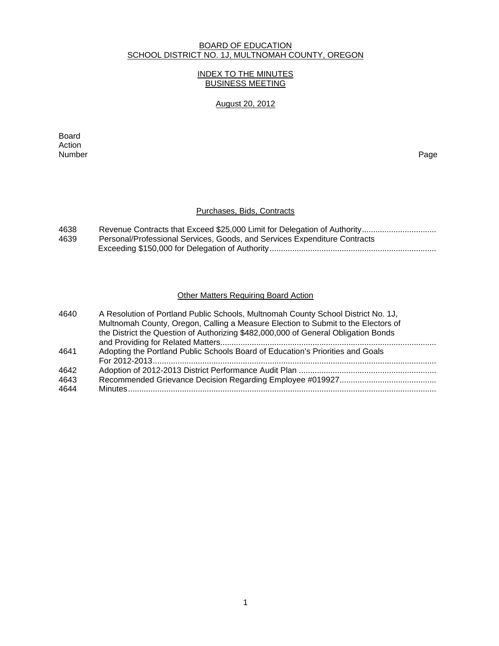### BOARD OF EDUCATION SCHOOL DISTRICT NO. 1J, MULTNOMAH COUNTY, OREGON

#### INDEX TO THE MINUTES BUSINESS MEETING

## August 20, 2012

extending the control of the control of the control of the control of the control of the control of the control of the control of the control of the control of the control of the control of the control of the control of th Action<br>Number Number Page

### Purchases, Bids, Contracts

| 4638 |                                                                           |
|------|---------------------------------------------------------------------------|
| 4639 | Personal/Professional Services, Goods, and Services Expenditure Contracts |
|      |                                                                           |

#### **Other Matters Requiring Board Action**

| 4640 | A Resolution of Portland Public Schools, Multnomah County School District No. 1J,  |
|------|------------------------------------------------------------------------------------|
|      | Multnomah County, Oregon, Calling a Measure Election to Submit to the Electors of  |
|      | the District the Question of Authorizing \$482,000,000 of General Obligation Bonds |
|      |                                                                                    |
| 4641 | Adopting the Portland Public Schools Board of Education's Priorities and Goals     |
|      |                                                                                    |
| 4642 |                                                                                    |
| 4643 |                                                                                    |
| 4644 |                                                                                    |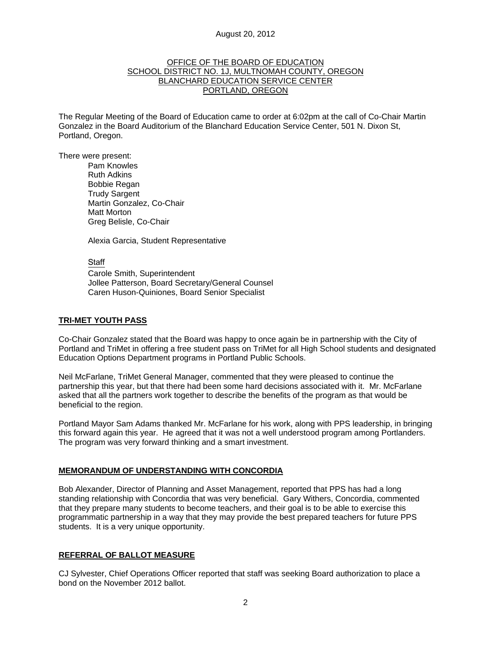#### OFFICE OF THE BOARD OF EDUCATION SCHOOL DISTRICT NO. 1J, MULTNOMAH COUNTY, OREGON BLANCHARD EDUCATION SERVICE CENTER PORTLAND, OREGON

The Regular Meeting of the Board of Education came to order at 6:02pm at the call of Co-Chair Martin Gonzalez in the Board Auditorium of the Blanchard Education Service Center, 501 N. Dixon St, Portland, Oregon.

There were present: Pam Knowles

Ruth Adkins Bobbie Regan Trudy Sargent Martin Gonzalez, Co-Chair Matt Morton Greg Belisle, Co-Chair

Alexia Garcia, Student Representative

**Staff** 

 Carole Smith, Superintendent Jollee Patterson, Board Secretary/General Counsel Caren Huson-Quiniones, Board Senior Specialist

### **TRI-MET YOUTH PASS**

Co-Chair Gonzalez stated that the Board was happy to once again be in partnership with the City of Portland and TriMet in offering a free student pass on TriMet for all High School students and designated Education Options Department programs in Portland Public Schools.

Neil McFarlane, TriMet General Manager, commented that they were pleased to continue the partnership this year, but that there had been some hard decisions associated with it. Mr. McFarlane asked that all the partners work together to describe the benefits of the program as that would be beneficial to the region.

Portland Mayor Sam Adams thanked Mr. McFarlane for his work, along with PPS leadership, in bringing this forward again this year. He agreed that it was not a well understood program among Portlanders. The program was very forward thinking and a smart investment.

### **MEMORANDUM OF UNDERSTANDING WITH CONCORDIA**

Bob Alexander, Director of Planning and Asset Management, reported that PPS has had a long standing relationship with Concordia that was very beneficial. Gary Withers, Concordia, commented that they prepare many students to become teachers, and their goal is to be able to exercise this programmatic partnership in a way that they may provide the best prepared teachers for future PPS students. It is a very unique opportunity.

#### **REFERRAL OF BALLOT MEASURE**

CJ Sylvester, Chief Operations Officer reported that staff was seeking Board authorization to place a bond on the November 2012 ballot.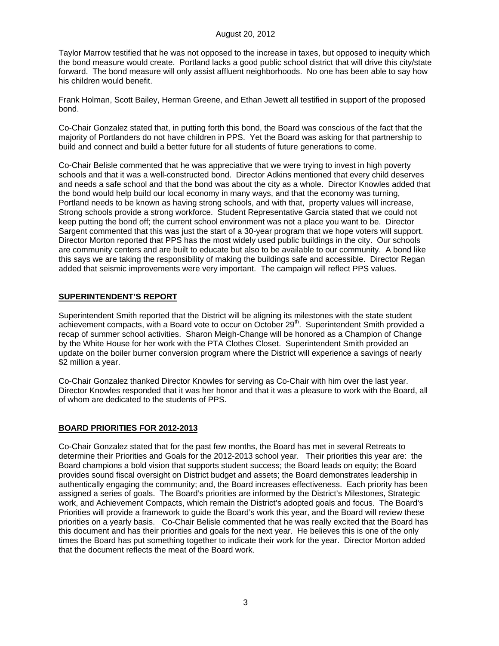Taylor Marrow testified that he was not opposed to the increase in taxes, but opposed to inequity which the bond measure would create. Portland lacks a good public school district that will drive this city/state forward. The bond measure will only assist affluent neighborhoods. No one has been able to say how his children would benefit.

Frank Holman, Scott Bailey, Herman Greene, and Ethan Jewett all testified in support of the proposed bond.

Co-Chair Gonzalez stated that, in putting forth this bond, the Board was conscious of the fact that the majority of Portlanders do not have children in PPS. Yet the Board was asking for that partnership to build and connect and build a better future for all students of future generations to come.

Co-Chair Belisle commented that he was appreciative that we were trying to invest in high poverty schools and that it was a well-constructed bond. Director Adkins mentioned that every child deserves and needs a safe school and that the bond was about the city as a whole. Director Knowles added that the bond would help build our local economy in many ways, and that the economy was turning, Portland needs to be known as having strong schools, and with that, property values will increase, Strong schools provide a strong workforce. Student Representative Garcia stated that we could not keep putting the bond off; the current school environment was not a place you want to be. Director Sargent commented that this was just the start of a 30-year program that we hope voters will support. Director Morton reported that PPS has the most widely used public buildings in the city. Our schools are community centers and are built to educate but also to be available to our community. A bond like this says we are taking the responsibility of making the buildings safe and accessible. Director Regan added that seismic improvements were very important. The campaign will reflect PPS values.

#### **SUPERINTENDENT'S REPORT**

Superintendent Smith reported that the District will be aligning its milestones with the state student achievement compacts, with a Board vote to occur on October 29<sup>th</sup>. Superintendent Smith provided a recap of summer school activities. Sharon Meigh-Change will be honored as a Champion of Change by the White House for her work with the PTA Clothes Closet. Superintendent Smith provided an update on the boiler burner conversion program where the District will experience a savings of nearly \$2 million a year.

Co-Chair Gonzalez thanked Director Knowles for serving as Co-Chair with him over the last year. Director Knowles responded that it was her honor and that it was a pleasure to work with the Board, all of whom are dedicated to the students of PPS.

## **BOARD PRIORITIES FOR 2012-2013**

Co-Chair Gonzalez stated that for the past few months, the Board has met in several Retreats to determine their Priorities and Goals for the 2012-2013 school year. Their priorities this year are: the Board champions a bold vision that supports student success; the Board leads on equity; the Board provides sound fiscal oversight on District budget and assets; the Board demonstrates leadership in authentically engaging the community; and, the Board increases effectiveness. Each priority has been assigned a series of goals. The Board's priorities are informed by the District's Milestones, Strategic work, and Achievement Compacts, which remain the District's adopted goals and focus. The Board's Priorities will provide a framework to guide the Board's work this year, and the Board will review these priorities on a yearly basis. Co-Chair Belisle commented that he was really excited that the Board has this document and has their priorities and goals for the next year. He believes this is one of the only times the Board has put something together to indicate their work for the year. Director Morton added that the document reflects the meat of the Board work.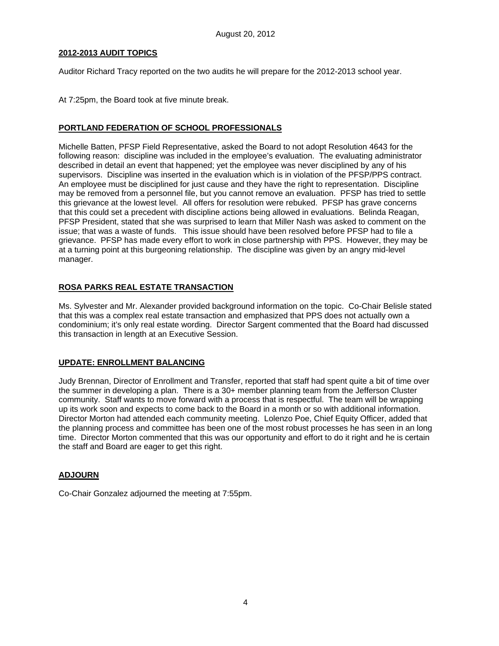### **2012-2013 AUDIT TOPICS**

Auditor Richard Tracy reported on the two audits he will prepare for the 2012-2013 school year.

At 7:25pm, the Board took at five minute break.

## **PORTLAND FEDERATION OF SCHOOL PROFESSIONALS**

Michelle Batten, PFSP Field Representative, asked the Board to not adopt Resolution 4643 for the following reason: discipline was included in the employee's evaluation. The evaluating administrator described in detail an event that happened; yet the employee was never disciplined by any of his supervisors. Discipline was inserted in the evaluation which is in violation of the PFSP/PPS contract. An employee must be disciplined for just cause and they have the right to representation. Discipline may be removed from a personnel file, but you cannot remove an evaluation. PFSP has tried to settle this grievance at the lowest level. All offers for resolution were rebuked. PFSP has grave concerns that this could set a precedent with discipline actions being allowed in evaluations. Belinda Reagan, PFSP President, stated that she was surprised to learn that Miller Nash was asked to comment on the issue; that was a waste of funds. This issue should have been resolved before PFSP had to file a grievance. PFSP has made every effort to work in close partnership with PPS. However, they may be at a turning point at this burgeoning relationship. The discipline was given by an angry mid-level manager.

# **ROSA PARKS REAL ESTATE TRANSACTION**

Ms. Sylvester and Mr. Alexander provided background information on the topic. Co-Chair Belisle stated that this was a complex real estate transaction and emphasized that PPS does not actually own a condominium; it's only real estate wording. Director Sargent commented that the Board had discussed this transaction in length at an Executive Session.

## **UPDATE: ENROLLMENT BALANCING**

Judy Brennan, Director of Enrollment and Transfer, reported that staff had spent quite a bit of time over the summer in developing a plan. There is a 30+ member planning team from the Jefferson Cluster community. Staff wants to move forward with a process that is respectful. The team will be wrapping up its work soon and expects to come back to the Board in a month or so with additional information. Director Morton had attended each community meeting. Lolenzo Poe, Chief Equity Officer, added that the planning process and committee has been one of the most robust processes he has seen in an long time. Director Morton commented that this was our opportunity and effort to do it right and he is certain the staff and Board are eager to get this right.

## **ADJOURN**

Co-Chair Gonzalez adjourned the meeting at 7:55pm.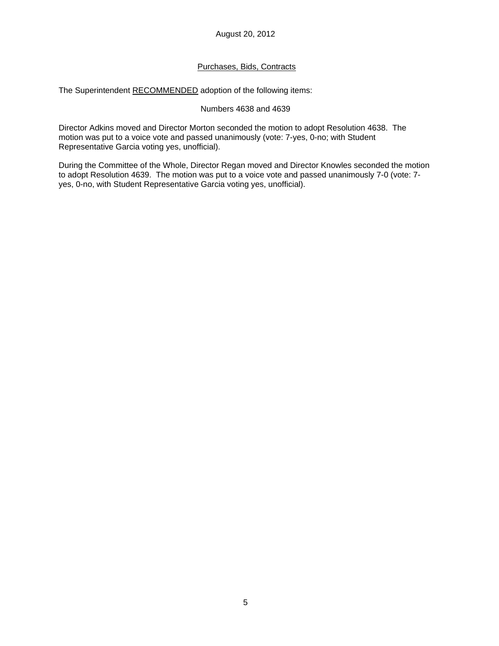## Purchases, Bids, Contracts

The Superintendent RECOMMENDED adoption of the following items:

#### Numbers 4638 and 4639

Director Adkins moved and Director Morton seconded the motion to adopt Resolution 4638. The motion was put to a voice vote and passed unanimously (vote: 7-yes, 0-no; with Student Representative Garcia voting yes, unofficial).

During the Committee of the Whole, Director Regan moved and Director Knowles seconded the motion to adopt Resolution 4639. The motion was put to a voice vote and passed unanimously 7-0 (vote: 7 yes, 0-no, with Student Representative Garcia voting yes, unofficial).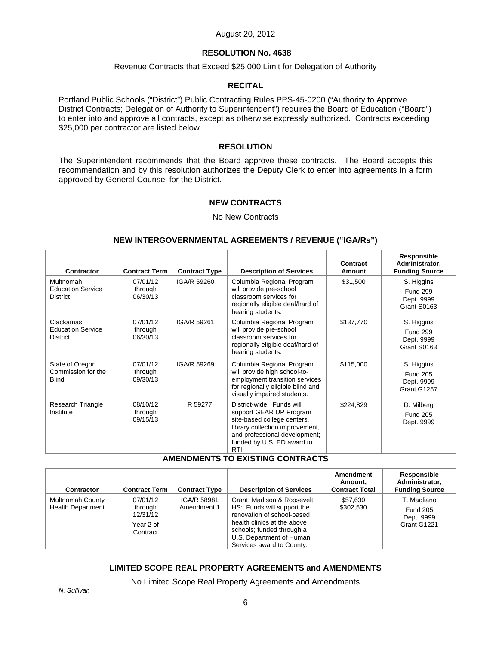## **RESOLUTION No. 4638**

## Revenue Contracts that Exceed \$25,000 Limit for Delegation of Authority

#### **RECITAL**

Portland Public Schools ("District") Public Contracting Rules PPS-45-0200 ("Authority to Approve District Contracts; Delegation of Authority to Superintendent") requires the Board of Education ("Board") to enter into and approve all contracts, except as otherwise expressly authorized. Contracts exceeding \$25,000 per contractor are listed below.

#### **RESOLUTION**

The Superintendent recommends that the Board approve these contracts. The Board accepts this recommendation and by this resolution authorizes the Deputy Clerk to enter into agreements in a form approved by General Counsel for the District.

#### **NEW CONTRACTS**

No New Contracts

#### **NEW INTERGOVERNMENTAL AGREEMENTS / REVENUE ("IGA/Rs")**

| Contractor                                               | <b>Contract Term</b>            | <b>Contract Type</b> | <b>Description of Services</b>                                                                                                                                                                | Contract<br>Amount | Responsible<br>Administrator,<br><b>Funding Source</b>     |
|----------------------------------------------------------|---------------------------------|----------------------|-----------------------------------------------------------------------------------------------------------------------------------------------------------------------------------------------|--------------------|------------------------------------------------------------|
| Multnomah<br><b>Education Service</b><br><b>District</b> | 07/01/12<br>through<br>06/30/13 | IGA/R 59260          | Columbia Regional Program<br>will provide pre-school<br>classroom services for<br>regionally eligible deaf/hard of<br>hearing students.                                                       | \$31,500           | S. Higgins<br><b>Fund 299</b><br>Dept. 9999<br>Grant S0163 |
| Clackamas<br><b>Education Service</b><br><b>District</b> | 07/01/12<br>through<br>06/30/13 | IGA/R 59261          | Columbia Regional Program<br>will provide pre-school<br>classroom services for<br>regionally eligible deaf/hard of<br>hearing students.                                                       | \$137,770          | S. Higgins<br><b>Fund 299</b><br>Dept. 9999<br>Grant S0163 |
| State of Oregon<br>Commission for the<br><b>Blind</b>    | 07/01/12<br>through<br>09/30/13 | IGA/R 59269          | Columbia Regional Program<br>will provide high school-to-<br>employment transition services<br>for regionally eligible blind and<br>visually impaired students.                               | \$115,000          | S. Higgins<br><b>Fund 205</b><br>Dept. 9999<br>Grant G1257 |
| Research Triangle<br>Institute                           | 08/10/12<br>through<br>09/15/13 | R 59277              | District-wide: Funds will<br>support GEAR UP Program<br>site-based college centers,<br>library collection improvement,<br>and professional development;<br>funded by U.S. ED award to<br>RTI. | \$224,829          | D. Milberg<br><b>Fund 205</b><br>Dept. 9999                |

# **AMENDMENTS TO EXISTING CONTRACTS**

| Contractor                                          | <b>Contract Term</b>                                     | <b>Contract Type</b>       | <b>Description of Services</b>                                                                                                                                                                              | Amendment<br>Amount,<br><b>Contract Total</b> | Responsible<br>Administrator,<br><b>Funding Source</b>      |
|-----------------------------------------------------|----------------------------------------------------------|----------------------------|-------------------------------------------------------------------------------------------------------------------------------------------------------------------------------------------------------------|-----------------------------------------------|-------------------------------------------------------------|
| <b>Multnomah County</b><br><b>Health Department</b> | 07/01/12<br>through<br>12/31/12<br>Year 2 of<br>Contract | IGA/R 58981<br>Amendment 1 | Grant, Madison & Roosevelt<br>HS: Funds will support the<br>renovation of school-based<br>health clinics at the above<br>schools; funded through a<br>U.S. Department of Human<br>Services award to County. | \$57.630<br>\$302,530                         | T. Magliano<br><b>Fund 205</b><br>Dept. 9999<br>Grant G1221 |

## **LIMITED SCOPE REAL PROPERTY AGREEMENTS and AMENDMENTS**

No Limited Scope Real Property Agreements and Amendments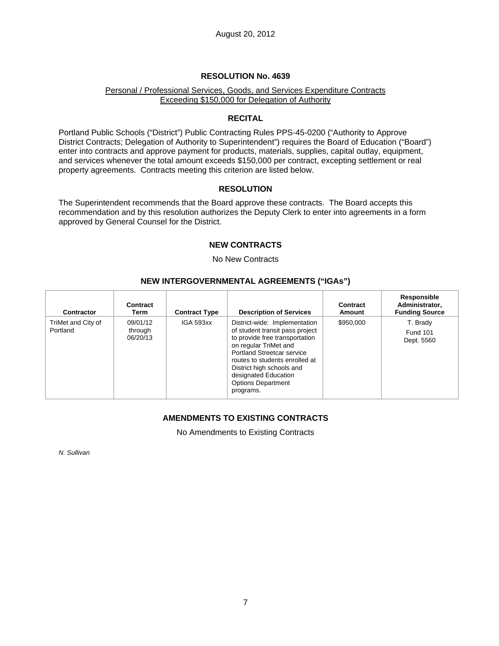## **RESOLUTION No. 4639**

### Personal / Professional Services, Goods, and Services Expenditure Contracts Exceeding \$150,000 for Delegation of Authority

#### **RECITAL**

Portland Public Schools ("District") Public Contracting Rules PPS-45-0200 ("Authority to Approve District Contracts; Delegation of Authority to Superintendent") requires the Board of Education ("Board") enter into contracts and approve payment for products, materials, supplies, capital outlay, equipment, and services whenever the total amount exceeds \$150,000 per contract, excepting settlement or real property agreements. Contracts meeting this criterion are listed below.

#### **RESOLUTION**

The Superintendent recommends that the Board approve these contracts. The Board accepts this recommendation and by this resolution authorizes the Deputy Clerk to enter into agreements in a form approved by General Counsel for the District.

### **NEW CONTRACTS**

No New Contracts

## **NEW INTERGOVERNMENTAL AGREEMENTS ("IGAs")**

| <b>Contractor</b>              | Contract<br>Term                | <b>Contract Type</b> | <b>Description of Services</b>                                                                                                                                                                                                                                                                    | Contract<br>Amount | Responsible<br>Administrator,<br><b>Funding Source</b> |
|--------------------------------|---------------------------------|----------------------|---------------------------------------------------------------------------------------------------------------------------------------------------------------------------------------------------------------------------------------------------------------------------------------------------|--------------------|--------------------------------------------------------|
| TriMet and City of<br>Portland | 09/01/12<br>through<br>06/20/13 | IGA 593xx            | District-wide: Implementation<br>of student transit pass project<br>to provide free transportation<br>on regular TriMet and<br><b>Portland Streetcar service</b><br>routes to students enrolled at<br>District high schools and<br>designated Education<br><b>Options Department</b><br>programs. | \$950,000          | T. Brady<br><b>Fund 101</b><br>Dept. 5560              |

## **AMENDMENTS TO EXISTING CONTRACTS**

No Amendments to Existing Contracts

*N. Sullivan*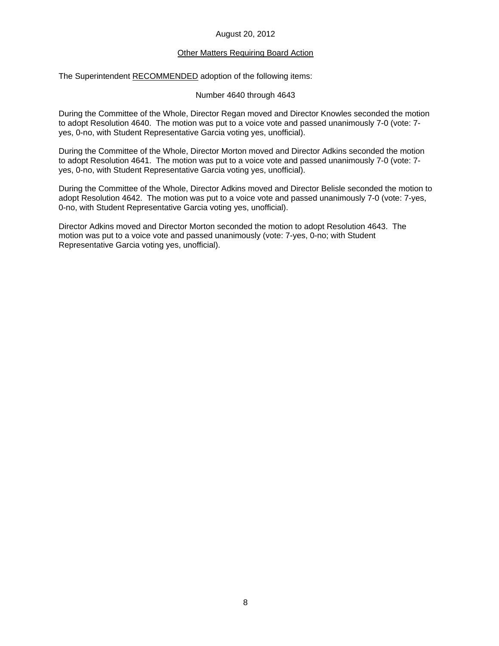#### **Other Matters Requiring Board Action**

The Superintendent RECOMMENDED adoption of the following items:

Number 4640 through 4643

During the Committee of the Whole, Director Regan moved and Director Knowles seconded the motion to adopt Resolution 4640. The motion was put to a voice vote and passed unanimously 7-0 (vote: 7 yes, 0-no, with Student Representative Garcia voting yes, unofficial).

During the Committee of the Whole, Director Morton moved and Director Adkins seconded the motion to adopt Resolution 4641. The motion was put to a voice vote and passed unanimously 7-0 (vote: 7 yes, 0-no, with Student Representative Garcia voting yes, unofficial).

During the Committee of the Whole, Director Adkins moved and Director Belisle seconded the motion to adopt Resolution 4642. The motion was put to a voice vote and passed unanimously 7-0 (vote: 7-yes, 0-no, with Student Representative Garcia voting yes, unofficial).

Director Adkins moved and Director Morton seconded the motion to adopt Resolution 4643. The motion was put to a voice vote and passed unanimously (vote: 7-yes, 0-no; with Student Representative Garcia voting yes, unofficial).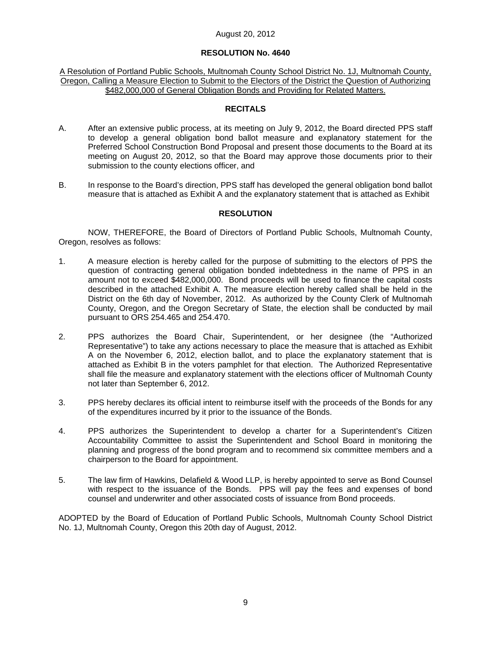#### **RESOLUTION No. 4640**

#### A Resolution of Portland Public Schools, Multnomah County School District No. 1J, Multnomah County, Oregon, Calling a Measure Election to Submit to the Electors of the District the Question of Authorizing \$482,000,000 of General Obligation Bonds and Providing for Related Matters.

## **RECITALS**

- A. After an extensive public process, at its meeting on July 9, 2012, the Board directed PPS staff to develop a general obligation bond ballot measure and explanatory statement for the Preferred School Construction Bond Proposal and present those documents to the Board at its meeting on August 20, 2012, so that the Board may approve those documents prior to their submission to the county elections officer, and
- B. In response to the Board's direction, PPS staff has developed the general obligation bond ballot measure that is attached as Exhibit A and the explanatory statement that is attached as Exhibit

### **RESOLUTION**

NOW, THEREFORE, the Board of Directors of Portland Public Schools, Multnomah County, Oregon, resolves as follows:

- 1. A measure election is hereby called for the purpose of submitting to the electors of PPS the question of contracting general obligation bonded indebtedness in the name of PPS in an amount not to exceed \$482,000,000. Bond proceeds will be used to finance the capital costs described in the attached Exhibit A. The measure election hereby called shall be held in the District on the 6th day of November, 2012. As authorized by the County Clerk of Multnomah County, Oregon, and the Oregon Secretary of State, the election shall be conducted by mail pursuant to ORS 254.465 and 254.470.
- 2. PPS authorizes the Board Chair, Superintendent, or her designee (the "Authorized Representative") to take any actions necessary to place the measure that is attached as Exhibit A on the November 6, 2012, election ballot, and to place the explanatory statement that is attached as Exhibit B in the voters pamphlet for that election. The Authorized Representative shall file the measure and explanatory statement with the elections officer of Multnomah County not later than September 6, 2012.
- 3. PPS hereby declares its official intent to reimburse itself with the proceeds of the Bonds for any of the expenditures incurred by it prior to the issuance of the Bonds.
- 4. PPS authorizes the Superintendent to develop a charter for a Superintendent's Citizen Accountability Committee to assist the Superintendent and School Board in monitoring the planning and progress of the bond program and to recommend six committee members and a chairperson to the Board for appointment.
- 5. The law firm of Hawkins, Delafield & Wood LLP, is hereby appointed to serve as Bond Counsel with respect to the issuance of the Bonds. PPS will pay the fees and expenses of bond counsel and underwriter and other associated costs of issuance from Bond proceeds.

ADOPTED by the Board of Education of Portland Public Schools, Multnomah County School District No. 1J, Multnomah County, Oregon this 20th day of August, 2012.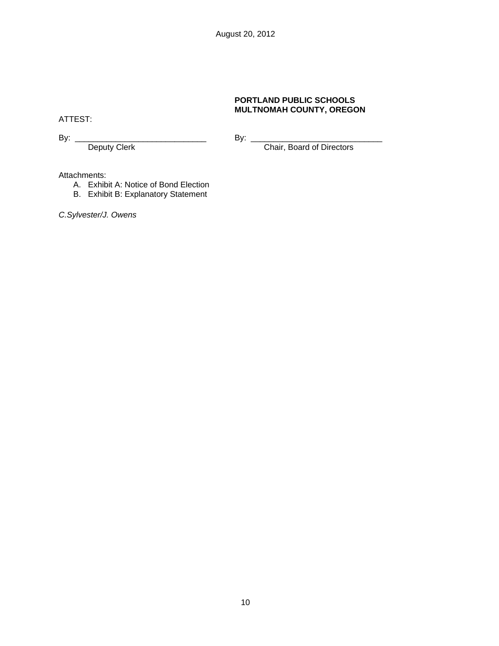### **PORTLAND PUBLIC SCHOOLS MULTNOMAH COUNTY, OREGON**

ATTEST:

By: \_\_\_\_\_\_\_\_\_\_\_\_\_\_\_\_\_\_\_\_\_\_\_\_\_\_\_\_\_ By: \_\_\_\_\_\_\_\_\_\_\_\_\_\_\_\_\_\_\_\_\_\_\_\_\_\_\_\_\_

Deputy Clerk Chair, Board of Directors

Attachments:

- A. Exhibit A: Notice of Bond Election
- B. Exhibit B: Explanatory Statement

*C.Sylvester/J. Owens*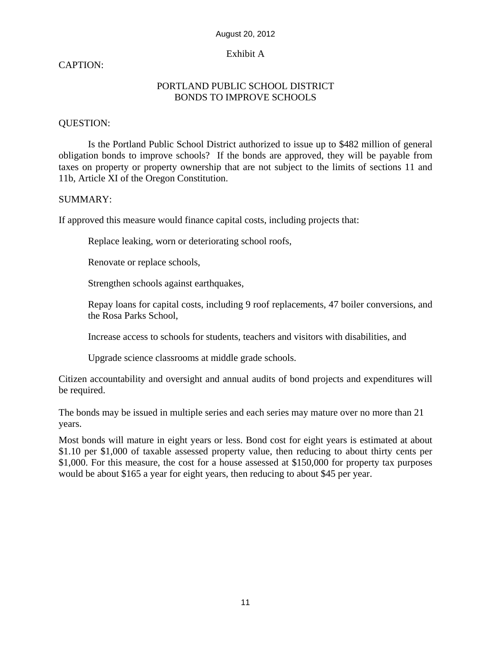# Exhibit A

# CAPTION:

# PORTLAND PUBLIC SCHOOL DISTRICT BONDS TO IMPROVE SCHOOLS

# QUESTION:

Is the Portland Public School District authorized to issue up to \$482 million of general obligation bonds to improve schools? If the bonds are approved, they will be payable from taxes on property or property ownership that are not subject to the limits of sections 11 and 11b, Article XI of the Oregon Constitution.

# SUMMARY:

If approved this measure would finance capital costs, including projects that:

Replace leaking, worn or deteriorating school roofs,

Renovate or replace schools,

Strengthen schools against earthquakes,

Repay loans for capital costs, including 9 roof replacements, 47 boiler conversions, and the Rosa Parks School,

Increase access to schools for students, teachers and visitors with disabilities, and

Upgrade science classrooms at middle grade schools.

Citizen accountability and oversight and annual audits of bond projects and expenditures will be required.

The bonds may be issued in multiple series and each series may mature over no more than 21 years.

Most bonds will mature in eight years or less. Bond cost for eight years is estimated at about \$1.10 per \$1,000 of taxable assessed property value, then reducing to about thirty cents per \$1,000. For this measure, the cost for a house assessed at \$150,000 for property tax purposes would be about \$165 a year for eight years, then reducing to about \$45 per year.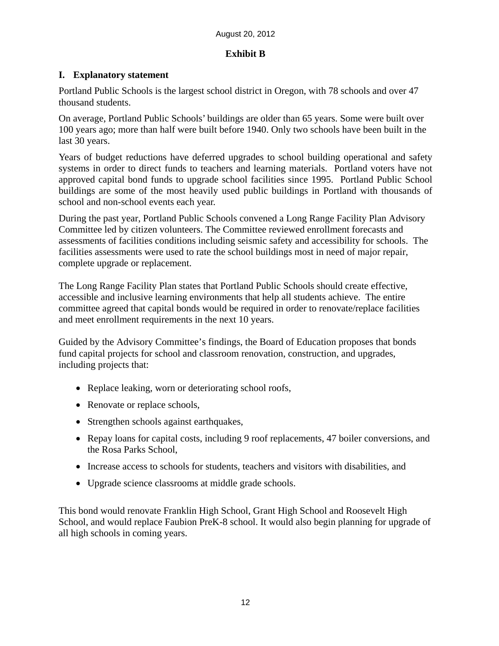# **Exhibit B**

# **I. Explanatory statement**

Portland Public Schools is the largest school district in Oregon, with 78 schools and over 47 thousand students.

On average, Portland Public Schools' buildings are older than 65 years. Some were built over 100 years ago; more than half were built before 1940. Only two schools have been built in the last 30 years.

Years of budget reductions have deferred upgrades to school building operational and safety systems in order to direct funds to teachers and learning materials. Portland voters have not approved capital bond funds to upgrade school facilities since 1995. Portland Public School buildings are some of the most heavily used public buildings in Portland with thousands of school and non-school events each year.

During the past year, Portland Public Schools convened a Long Range Facility Plan Advisory Committee led by citizen volunteers. The Committee reviewed enrollment forecasts and assessments of facilities conditions including seismic safety and accessibility for schools. The facilities assessments were used to rate the school buildings most in need of major repair, complete upgrade or replacement.

The Long Range Facility Plan states that Portland Public Schools should create effective, accessible and inclusive learning environments that help all students achieve. The entire committee agreed that capital bonds would be required in order to renovate/replace facilities and meet enrollment requirements in the next 10 years.

Guided by the Advisory Committee's findings, the Board of Education proposes that bonds fund capital projects for school and classroom renovation, construction, and upgrades, including projects that:

- Replace leaking, worn or deteriorating school roofs,
- Renovate or replace schools,
- Strengthen schools against earthquakes,
- Repay loans for capital costs, including 9 roof replacements, 47 boiler conversions, and the Rosa Parks School,
- Increase access to schools for students, teachers and visitors with disabilities, and
- Upgrade science classrooms at middle grade schools.

This bond would renovate Franklin High School, Grant High School and Roosevelt High School, and would replace Faubion PreK-8 school. It would also begin planning for upgrade of all high schools in coming years.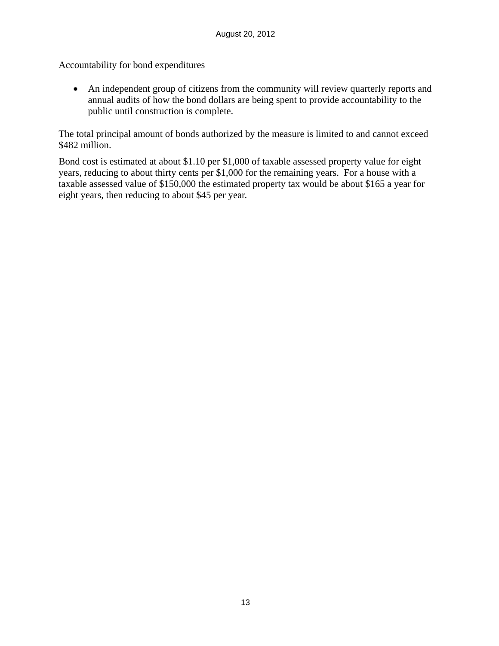Accountability for bond expenditures

 An independent group of citizens from the community will review quarterly reports and annual audits of how the bond dollars are being spent to provide accountability to the public until construction is complete.

The total principal amount of bonds authorized by the measure is limited to and cannot exceed \$482 million.

Bond cost is estimated at about \$1.10 per \$1,000 of taxable assessed property value for eight years, reducing to about thirty cents per \$1,000 for the remaining years. For a house with a taxable assessed value of \$150,000 the estimated property tax would be about \$165 a year for eight years, then reducing to about \$45 per year.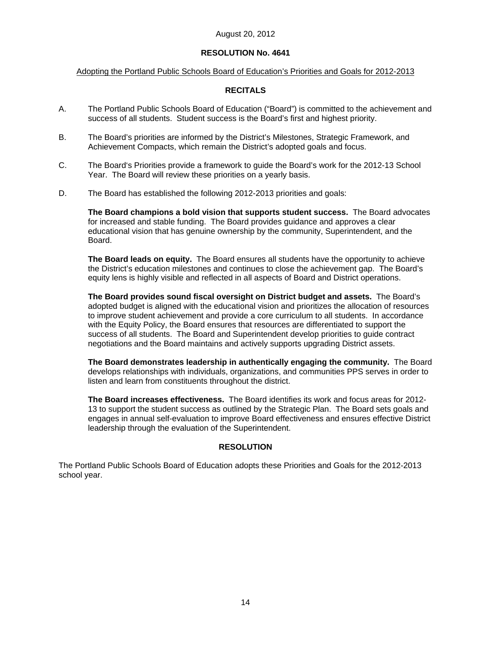# **RESOLUTION No. 4641**

## Adopting the Portland Public Schools Board of Education's Priorities and Goals for 2012-2013

## **RECITALS**

- A. The Portland Public Schools Board of Education ("Board") is committed to the achievement and success of all students. Student success is the Board's first and highest priority.
- B. The Board's priorities are informed by the District's Milestones, Strategic Framework, and Achievement Compacts, which remain the District's adopted goals and focus.
- C. The Board's Priorities provide a framework to guide the Board's work for the 2012-13 School Year. The Board will review these priorities on a yearly basis.
- D. The Board has established the following 2012-2013 priorities and goals:

**The Board champions a bold vision that supports student success.** The Board advocates for increased and stable funding. The Board provides guidance and approves a clear educational vision that has genuine ownership by the community, Superintendent, and the Board.

**The Board leads on equity.** The Board ensures all students have the opportunity to achieve the District's education milestones and continues to close the achievement gap. The Board's equity lens is highly visible and reflected in all aspects of Board and District operations.

**The Board provides sound fiscal oversight on District budget and assets.** The Board's adopted budget is aligned with the educational vision and prioritizes the allocation of resources to improve student achievement and provide a core curriculum to all students. In accordance with the Equity Policy, the Board ensures that resources are differentiated to support the success of all students. The Board and Superintendent develop priorities to guide contract negotiations and the Board maintains and actively supports upgrading District assets.

**The Board demonstrates leadership in authentically engaging the community.** The Board develops relationships with individuals, organizations, and communities PPS serves in order to listen and learn from constituents throughout the district.

**The Board increases effectiveness.** The Board identifies its work and focus areas for 2012- 13 to support the student success as outlined by the Strategic Plan. The Board sets goals and engages in annual self-evaluation to improve Board effectiveness and ensures effective District leadership through the evaluation of the Superintendent.

## **RESOLUTION**

The Portland Public Schools Board of Education adopts these Priorities and Goals for the 2012-2013 school year.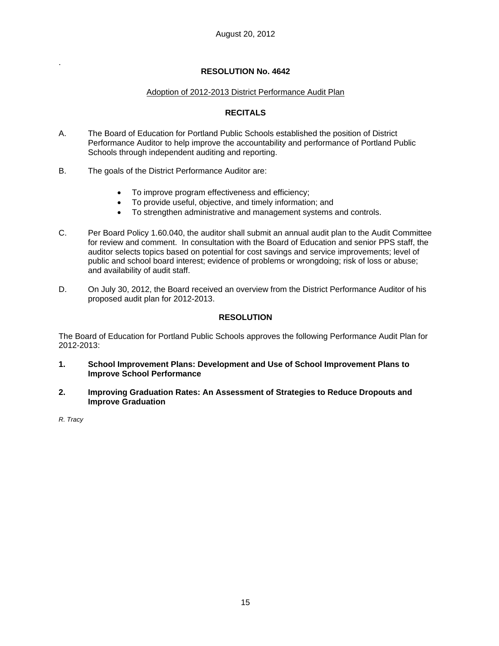## **RESOLUTION No. 4642**

## Adoption of 2012-2013 District Performance Audit Plan

## **RECITALS**

- A. The Board of Education for Portland Public Schools established the position of District Performance Auditor to help improve the accountability and performance of Portland Public Schools through independent auditing and reporting.
- B. The goals of the District Performance Auditor are:
	- To improve program effectiveness and efficiency;
	- To provide useful, objective, and timely information; and
	- To strengthen administrative and management systems and controls.
- C. Per Board Policy 1.60.040, the auditor shall submit an annual audit plan to the Audit Committee for review and comment. In consultation with the Board of Education and senior PPS staff, the auditor selects topics based on potential for cost savings and service improvements; level of public and school board interest; evidence of problems or wrongdoing; risk of loss or abuse; and availability of audit staff.
- D. On July 30, 2012, the Board received an overview from the District Performance Auditor of his proposed audit plan for 2012-2013.

## **RESOLUTION**

The Board of Education for Portland Public Schools approves the following Performance Audit Plan for 2012-2013:

- **1. School Improvement Plans: Development and Use of School Improvement Plans to Improve School Performance**
- **2. Improving Graduation Rates: An Assessment of Strategies to Reduce Dropouts and Improve Graduation**

*R. Tracy* 

.